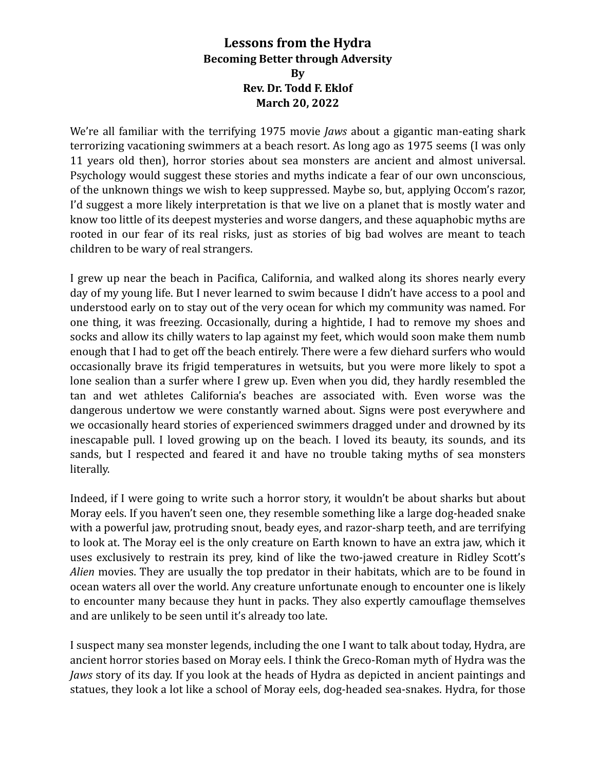## Lessons from the Hydra **Becoming Better through Adversity By Rev. Dr. Todd F. Eklof March 20, 2022**

We're all familiar with the terrifying 1975 movie *Jaws* about a gigantic man-eating shark terrorizing vacationing swimmers at a beach resort. As long ago as 1975 seems (I was only 11 years old then), horror stories about sea monsters are ancient and almost universal. Psychology would suggest these stories and myths indicate a fear of our own unconscious, of the unknown things we wish to keep suppressed. Maybe so, but, applying Occom's razor, I'd suggest a more likely interpretation is that we live on a planet that is mostly water and know too little of its deepest mysteries and worse dangers, and these aquaphobic myths are rooted in our fear of its real risks, just as stories of big bad wolves are meant to teach children to be wary of real strangers.

I grew up near the beach in Pacifica, California, and walked along its shores nearly every day of my young life. But I never learned to swim because I didn't have access to a pool and understood early on to stay out of the very ocean for which my community was named. For one thing, it was freezing. Occasionally, during a hightide, I had to remove my shoes and socks and allow its chilly waters to lap against my feet, which would soon make them numb enough that I had to get off the beach entirely. There were a few diehard surfers who would occasionally brave its frigid temperatures in wetsuits, but you were more likely to spot a lone sealion than a surfer where I grew up. Even when you did, they hardly resembled the tan and wet athletes California's beaches are associated with. Even worse was the dangerous undertow we were constantly warned about. Signs were post everywhere and we occasionally heard stories of experienced swimmers dragged under and drowned by its inescapable pull. I loved growing up on the beach. I loved its beauty, its sounds, and its sands, but I respected and feared it and have no trouble taking myths of sea monsters literally. 

Indeed, if I were going to write such a horror story, it wouldn't be about sharks but about Moray eels. If you haven't seen one, they resemble something like a large dog-headed snake with a powerful jaw, protruding snout, beady eyes, and razor-sharp teeth, and are terrifying to look at. The Moray eel is the only creature on Earth known to have an extra jaw, which it uses exclusively to restrain its prey, kind of like the two-jawed creature in Ridley Scott's *Alien* movies. They are usually the top predator in their habitats, which are to be found in ocean waters all over the world. Any creature unfortunate enough to encounter one is likely to encounter many because they hunt in packs. They also expertly camouflage themselves and are unlikely to be seen until it's already too late.

I suspect many sea monster legends, including the one I want to talk about today, Hydra, are ancient horror stories based on Moray eels. I think the Greco-Roman myth of Hydra was the *Jaws* story of its day. If you look at the heads of Hydra as depicted in ancient paintings and statues, they look a lot like a school of Moray eels, dog-headed sea-snakes. Hydra, for those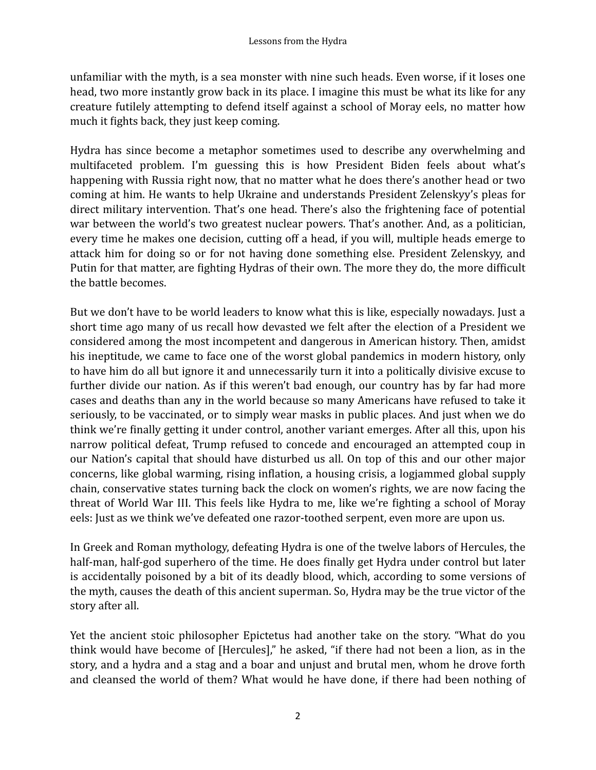unfamiliar with the myth, is a sea monster with nine such heads. Even worse, if it loses one head, two more instantly grow back in its place. I imagine this must be what its like for any creature futilely attempting to defend itself against a school of Moray eels, no matter how much it fights back, they just keep coming.

Hydra has since become a metaphor sometimes used to describe any overwhelming and multifaceted problem. I'm guessing this is how President Biden feels about what's happening with Russia right now, that no matter what he does there's another head or two coming at him. He wants to help Ukraine and understands President Zelenskyy's pleas for direct military intervention. That's one head. There's also the frightening face of potential war between the world's two greatest nuclear powers. That's another. And, as a politician, every time he makes one decision, cutting off a head, if you will, multiple heads emerge to attack him for doing so or for not having done something else. President Zelenskyy, and Putin for that matter, are fighting Hydras of their own. The more they do, the more difficult the battle becomes.

But we don't have to be world leaders to know what this is like, especially nowadays. Just a short time ago many of us recall how devasted we felt after the election of a President we considered among the most incompetent and dangerous in American history. Then, amidst his ineptitude, we came to face one of the worst global pandemics in modern history, only to have him do all but ignore it and unnecessarily turn it into a politically divisive excuse to further divide our nation. As if this weren't bad enough, our country has by far had more cases and deaths than any in the world because so many Americans have refused to take it seriously, to be vaccinated, or to simply wear masks in public places. And just when we do think we're finally getting it under control, another variant emerges. After all this, upon his narrow political defeat, Trump refused to concede and encouraged an attempted coup in our Nation's capital that should have disturbed us all. On top of this and our other major concerns, like global warming, rising inflation, a housing crisis, a logjammed global supply chain, conservative states turning back the clock on women's rights, we are now facing the threat of World War III. This feels like Hydra to me, like we're fighting a school of Moray eels: Just as we think we've defeated one razor-toothed serpent, even more are upon us.

In Greek and Roman mythology, defeating Hydra is one of the twelve labors of Hercules, the half-man, half-god superhero of the time. He does finally get Hydra under control but later is accidentally poisoned by a bit of its deadly blood, which, according to some versions of the myth, causes the death of this ancient superman. So, Hydra may be the true victor of the story after all.

Yet the ancient stoic philosopher Epictetus had another take on the story. "What do you think would have become of [Hercules]," he asked, "if there had not been a lion, as in the story, and a hydra and a stag and a boar and unjust and brutal men, whom he drove forth and cleansed the world of them? What would he have done, if there had been nothing of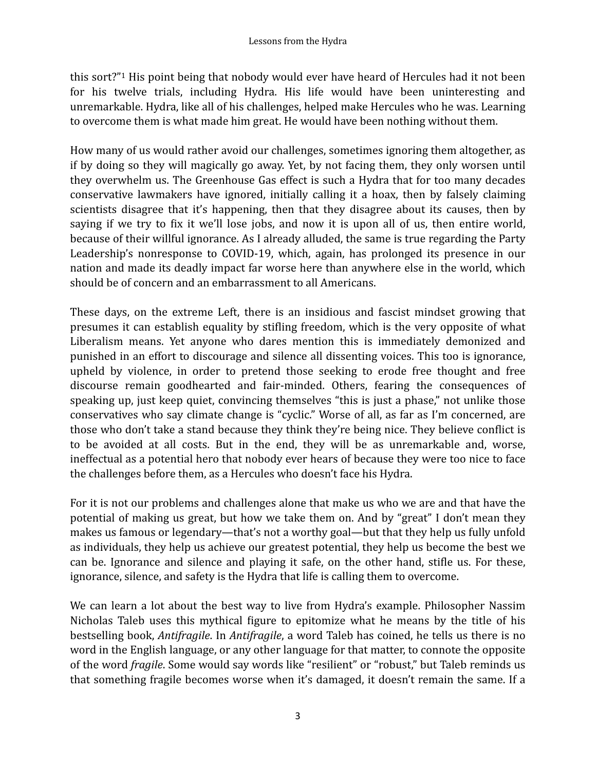<span id="page-2-0"></span>this sort?"<sup>[1](#page-5-0)</sup> His point being that nobody would ever have heard of Hercules had it not been for his twelve trials, including Hydra. His life would have been uninteresting and unremarkable. Hydra, like all of his challenges, helped make Hercules who he was. Learning to overcome them is what made him great. He would have been nothing without them.

How many of us would rather avoid our challenges, sometimes ignoring them altogether, as if by doing so they will magically go away. Yet, by not facing them, they only worsen until they overwhelm us. The Greenhouse Gas effect is such a Hydra that for too many decades conservative lawmakers have ignored, initially calling it a hoax, then by falsely claiming scientists disagree that it's happening, then that they disagree about its causes, then by saying if we try to fix it we'll lose jobs, and now it is upon all of us, then entire world, because of their willful ignorance. As I already alluded, the same is true regarding the Party Leadership's nonresponse to COVID-19, which, again, has prolonged its presence in our nation and made its deadly impact far worse here than anywhere else in the world, which should be of concern and an embarrassment to all Americans.

These days, on the extreme Left, there is an insidious and fascist mindset growing that presumes it can establish equality by stifling freedom, which is the very opposite of what Liberalism means. Yet anyone who dares mention this is immediately demonized and punished in an effort to discourage and silence all dissenting voices. This too is ignorance, upheld by violence, in order to pretend those seeking to erode free thought and free discourse remain goodhearted and fair-minded. Others, fearing the consequences of speaking up, just keep quiet, convincing themselves "this is just a phase," not unlike those conservatives who say climate change is "cyclic." Worse of all, as far as I'm concerned, are those who don't take a stand because they think they're being nice. They believe conflict is to be avoided at all costs. But in the end, they will be as unremarkable and, worse, ineffectual as a potential hero that nobody ever hears of because they were too nice to face the challenges before them, as a Hercules who doesn't face his Hydra.

For it is not our problems and challenges alone that make us who we are and that have the potential of making us great, but how we take them on. And by "great" I don't mean they makes us famous or legendary—that's not a worthy goal—but that they help us fully unfold as individuals, they help us achieve our greatest potential, they help us become the best we can be. Ignorance and silence and playing it safe, on the other hand, stifle us. For these, ignorance, silence, and safety is the Hydra that life is calling them to overcome.

We can learn a lot about the best way to live from Hydra's example. Philosopher Nassim Nicholas Taleb uses this mythical figure to epitomize what he means by the title of his bestselling book, *Antifragile*. In *Antifragile*, a word Taleb has coined, he tells us there is no word in the English language, or any other language for that matter, to connote the opposite of the word *fragile*. Some would say words like "resilient" or "robust," but Taleb reminds us that something fragile becomes worse when it's damaged, it doesn't remain the same. If a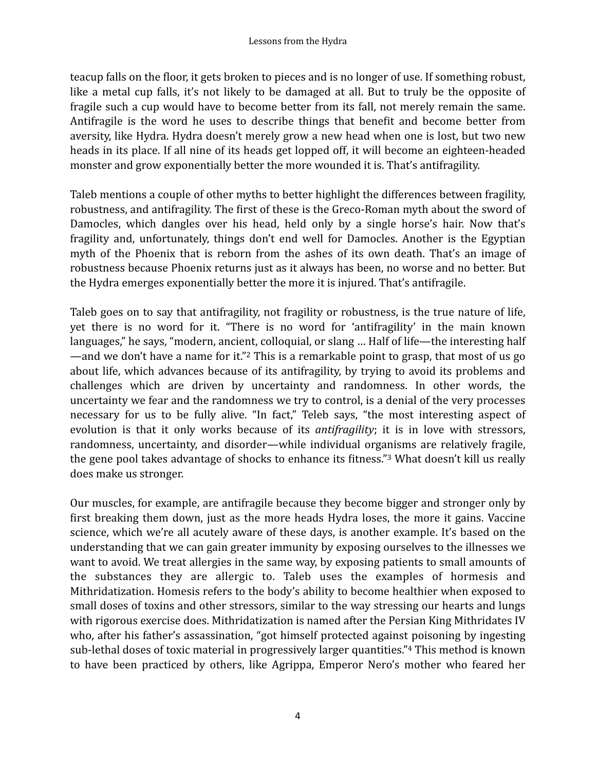teacup falls on the floor, it gets broken to pieces and is no longer of use. If something robust, like a metal cup falls, it's not likely to be damaged at all. But to truly be the opposite of fragile such a cup would have to become better from its fall, not merely remain the same. Antifragile is the word he uses to describe things that benefit and become better from aversity, like Hydra. Hydra doesn't merely grow a new head when one is lost, but two new heads in its place. If all nine of its heads get lopped off, it will become an eighteen-headed monster and grow exponentially better the more wounded it is. That's antifragility.

Taleb mentions a couple of other myths to better highlight the differences between fragility, robustness, and antifragility. The first of these is the Greco-Roman myth about the sword of Damocles, which dangles over his head, held only by a single horse's hair. Now that's fragility and, unfortunately, things don't end well for Damocles. Another is the Egyptian myth of the Phoenix that is reborn from the ashes of its own death. That's an image of robustness because Phoenix returns just as it always has been, no worse and no better. But the Hydra emerges exponentially better the more it is injured. That's antifragile.

<span id="page-3-0"></span>Taleb goes on to say that antifragility, not fragility or robustness, is the true nature of life, yet there is no word for it. "There is no word for 'antifragility' in the main known languages," he says, "modern, ancient, colloquial, or slang ... Half of life—the interesting half —and we don't have a name for it."<sup>[2](#page-5-1)</sup> This is a remarkable point to grasp, that most of us go about life, which advances because of its antifragility, by trying to avoid its problems and challenges which are driven by uncertainty and randomness. In other words, the uncertainty we fear and the randomness we try to control, is a denial of the very processes necessary for us to be fully alive. "In fact," Teleb says, "the most interesting aspect of evolution is that it only works because of its *antifragility*; it is in love with stressors, randomness, uncertainty, and disorder—while individual organisms are relatively fragile, the gene pool takes advantage of shocks to enhance its fitness."<sup>[3](#page-5-2)</sup> What doesn't kill us really does make us stronger.

<span id="page-3-2"></span><span id="page-3-1"></span>Our muscles, for example, are antifragile because they become bigger and stronger only by first breaking them down, just as the more heads Hydra loses, the more it gains. Vaccine science, which we're all acutely aware of these days, is another example. It's based on the understanding that we can gain greater immunity by exposing ourselves to the illnesses we want to avoid. We treat allergies in the same way, by exposing patients to small amounts of the substances they are allergic to. Taleb uses the examples of hormesis and Mithridatization. Homesis refers to the body's ability to become healthier when exposed to small doses of toxins and other stressors, similar to the way stressing our hearts and lungs with rigorous exercise does. Mithridatization is named after the Persian King Mithridates IV who, after his father's assassination, "got himself protected against poisoning by ingesting sub-lethal doses of toxic material in progressively larger quantities."<sup>[4](#page-5-3)</sup> This method is known to have been practiced by others, like Agrippa, Emperor Nero's mother who feared her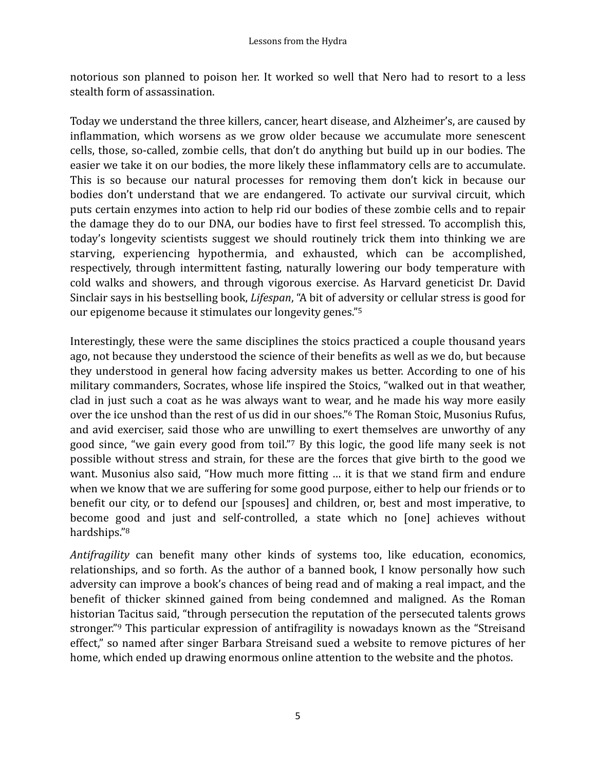notorious son planned to poison her. It worked so well that Nero had to resort to a less stealth form of assassination.

Today we understand the three killers, cancer, heart disease, and Alzheimer's, are caused by inflammation, which worsens as we grow older because we accumulate more senescent cells, those, so-called, zombie cells, that don't do anything but build up in our bodies. The easier we take it on our bodies, the more likely these inflammatory cells are to accumulate. This is so because our natural processes for removing them don't kick in because our bodies don't understand that we are endangered. To activate our survival circuit, which puts certain enzymes into action to help rid our bodies of these zombie cells and to repair the damage they do to our DNA, our bodies have to first feel stressed. To accomplish this, today's longevity scientists suggest we should routinely trick them into thinking we are starving, experiencing hypothermia, and exhausted, which can be accomplished, respectively, through intermittent fasting, naturally lowering our body temperature with cold walks and showers, and through vigorous exercise. As Harvard geneticist Dr. David Sinclair says in his bestselling book, *Lifespan*, "A bit of adversity or cellular stress is good for our epigenome because it stimulates our longevity genes."<sup>[5](#page-5-4)</sup>

<span id="page-4-2"></span><span id="page-4-1"></span><span id="page-4-0"></span>Interestingly, these were the same disciplines the stoics practiced a couple thousand years ago, not because they understood the science of their benefits as well as we do, but because they understood in general how facing adversity makes us better. According to one of his military commanders, Socrates, whose life inspired the Stoics, "walked out in that weather, clad in just such a coat as he was always want to wear, and he made his way more easily over the ice unshod than the rest of us did in our shoes." The Roman Stoic, Musonius Rufus, and avid exerciser, said those who are unwilling to exert themselves are unworthy of any good since, "we gain every good from toil." By this logic, the good life many seek is not possible without stress and strain, for these are the forces that give birth to the good we want. Musonius also said, "How much more fitting ... it is that we stand firm and endure when we know that we are suffering for some good purpose, either to help our friends or to benefit our city, or to defend our [spouses] and children, or, best and most imperative, to become good and just and self-controlled, a state which no [one] achieves without hardships."[8](#page-5-7)

<span id="page-4-4"></span><span id="page-4-3"></span>*Antifragility* can benefit many other kinds of systems too, like education, economics, relationships, and so forth. As the author of a banned book, I know personally how such adversity can improve a book's chances of being read and of making a real impact, and the benefit of thicker skinned gained from being condemned and maligned. As the Roman historian Tacitus said, "through persecution the reputation of the persecuted talents grows stronger."<sup>[9](#page-5-8)</sup> This particular expression of antifragility is nowadays known as the "Streisand effect," so named after singer Barbara Streisand sued a website to remove pictures of her home, which ended up drawing enormous online attention to the website and the photos.